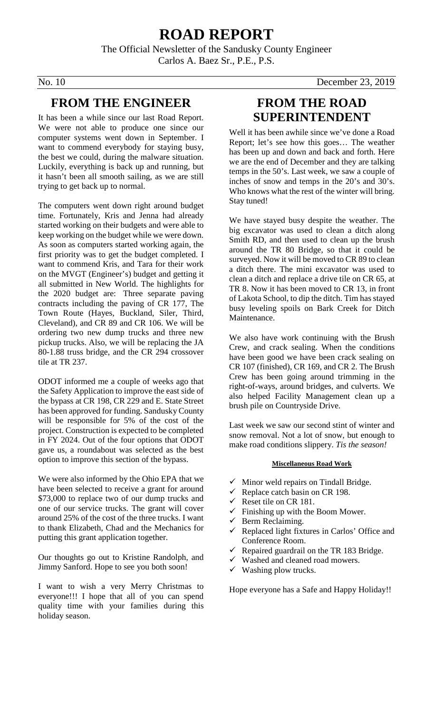## **ROAD REPORT**

The Official Newsletter of the Sandusky County Engineer Carlos A. Baez Sr., P.E., P.S.

#### **FROM THE ENGINEER**

It has been a while since our last Road Report. We were not able to produce one since our computer systems went down in September. I want to commend everybody for staying busy, the best we could, during the malware situation. Luckily, everything is back up and running, but it hasn't been all smooth sailing, as we are still trying to get back up to normal.

The computers went down right around budget time. Fortunately, Kris and Jenna had already started working on their budgets and were able to keep working on the budget while we were down. As soon as computers started working again, the first priority was to get the budget completed. I want to commend Kris, and Tara for their work on the MVGT (Engineer's) budget and getting it all submitted in New World. The highlights for the 2020 budget are: Three separate paving contracts including the paving of CR 177, The Town Route (Hayes, Buckland, Siler, Third, Cleveland), and CR 89 and CR 106. We will be ordering two new dump trucks and three new pickup trucks. Also, we will be replacing the JA 80-1.88 truss bridge, and the CR 294 crossover tile at TR 237.

ODOT informed me a couple of weeks ago that the Safety Application to improve the east side of the bypass at CR 198, CR 229 and E. State Street has been approved for funding. Sandusky County will be responsible for 5% of the cost of the project. Construction is expected to be completed in FY 2024. Out of the four options that ODOT gave us, a roundabout was selected as the best option to improve this section of the bypass.

We were also informed by the Ohio EPA that we have been selected to receive a grant for around \$73,000 to replace two of our dump trucks and one of our service trucks. The grant will cover around 25% of the cost of the three trucks. I want to thank Elizabeth, Chad and the Mechanics for putting this grant application together.

Our thoughts go out to Kristine Randolph, and Jimmy Sanford. Hope to see you both soon!

I want to wish a very Merry Christmas to everyone!!! I hope that all of you can spend quality time with your families during this holiday season.

### **FROM THE ROAD SUPERINTENDENT**

Well it has been awhile since we've done a Road Report; let's see how this goes… The weather has been up and down and back and forth. Here we are the end of December and they are talking temps in the 50's. Last week, we saw a couple of inches of snow and temps in the 20's and 30's. Who knows what the rest of the winter will bring. Stay tuned!

We have stayed busy despite the weather. The big excavator was used to clean a ditch along Smith RD, and then used to clean up the brush around the TR 80 Bridge, so that it could be surveyed. Now it will be moved to CR 89 to clean a ditch there. The mini excavator was used to clean a ditch and replace a drive tile on CR 65, at TR 8. Now it has been moved to CR 13, in front of Lakota School, to dip the ditch. Tim has stayed busy leveling spoils on Bark Creek for Ditch Maintenance.

We also have work continuing with the Brush Crew, and crack sealing. When the conditions have been good we have been crack sealing on CR 107 (finished), CR 169, and CR 2. The Brush Crew has been going around trimming in the right-of-ways, around bridges, and culverts. We also helped Facility Management clean up a brush pile on Countryside Drive.

Last week we saw our second stint of winter and snow removal. Not a lot of snow, but enough to make road conditions slippery. *Tis the season!*

#### **Miscellaneous Road Work**

- Minor weld repairs on Tindall Bridge.
- Replace catch basin on CR 198.
- Reset tile on CR 181.
- $\checkmark$  Finishing up with the Boom Mower.
- $\checkmark$  Berm Reclaiming.
- Replaced light fixtures in Carlos' Office and Conference Room.
- Repaired guardrail on the TR 183 Bridge.
- $\checkmark$  Washed and cleaned road mowers.
- $\checkmark$  Washing plow trucks.

Hope everyone has a Safe and Happy Holiday!!

No. 10 December 23, 2019